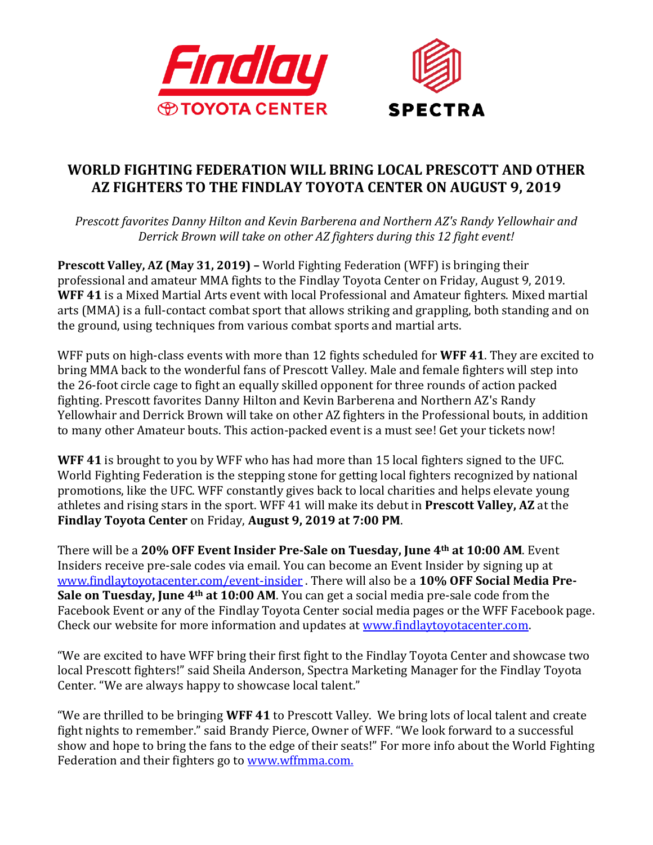

## **WORLD FIGHTING FEDERATION WILL BRING LOCAL PRESCOTT AND OTHER AZ FIGHTERS TO THE FINDLAY TOYOTA CENTER ON AUGUST 9, 2019**

*Prescott favorites Danny Hilton and Kevin Barberena and Northern AZ's Randy Yellowhair and Derrick Brown will take on other AZ fighters during this 12 fight event!*

**Prescott Valley, AZ (May 31, 2019) –** World Fighting Federation (WFF) is bringing their professional and amateur MMA fights to the Findlay Toyota Center on Friday, August 9, 2019. **WFF 41** is a Mixed Martial Arts event with local Professional and Amateur fighters. Mixed martial arts (MMA) is a full-contact combat sport that allows striking and grappling, both standing and on the ground, using techniques from various combat sports and martial arts.

WFF puts on high-class events with more than 12 fights scheduled for **WFF 41**. They are excited to bring MMA back to the wonderful fans of Prescott Valley. Male and female fighters will step into the 26-foot circle cage to fight an equally skilled opponent for three rounds of action packed fighting. Prescott favorites Danny Hilton and Kevin Barberena and Northern AZ's Randy Yellowhair and Derrick Brown will take on other AZ fighters in the Professional bouts, in addition to many other Amateur bouts. This action-packed event is a must see! Get your tickets now!

**WFF 41** is brought to you by WFF who has had more than 15 local fighters signed to the UFC. World Fighting Federation is the stepping stone for getting local fighters recognized by national promotions, like the UFC. WFF constantly gives back to local charities and helps elevate young athletes and rising stars in the sport. WFF 41 will make its debut in **Prescott Valley, AZ** at the **Findlay Toyota Center** on Friday, **August 9, 2019 at 7:00 PM**.

There will be a **20% OFF Event Insider Pre-Sale on Tuesday, June 4th at 10:00 AM**. Event Insiders receive pre-sale codes via email. You can become an Event Insider by signing up at [www.findlaytoyotacenter.com/event-insider](http://www.findlaytoyotacenter.com/event-insider) . There will also be a **10% OFF Social Media Pre-Sale on Tuesday, June 4th at 10:00 AM**. You can get a social media pre-sale code from the Facebook Event or any of the Findlay Toyota Center social media pages or the WFF Facebook page. Check our website for more information and updates at [www.findlaytoyotacenter.com.](http://www.findlaytoyotacenter.com/)

"We are excited to have WFF bring their first fight to the Findlay Toyota Center and showcase two local Prescott fighters!" said Sheila Anderson, Spectra Marketing Manager for the Findlay Toyota Center. "We are always happy to showcase local talent."

"We are thrilled to be bringing **WFF 41** to Prescott Valley. We bring lots of local talent and create fight nights to remember." said Brandy Pierce, Owner of WFF. "We look forward to a successful show and hope to bring the fans to the edge of their seats!" For more info about the World Fighting Federation and their fighters go to [www.wffmma.com.](http://www.wffmma.com/)